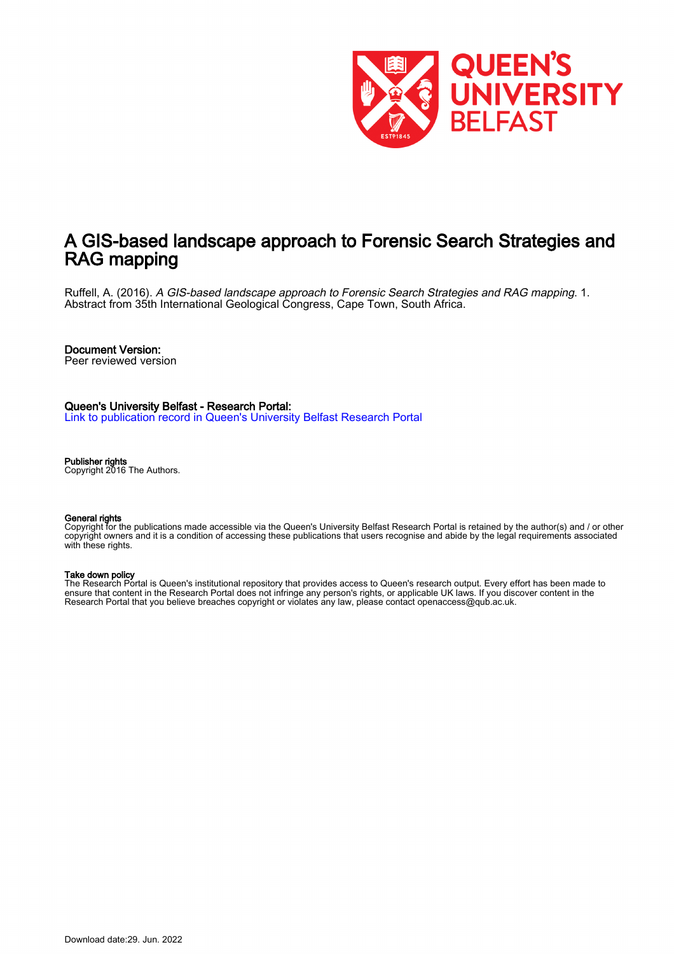

## A GIS-based landscape approach to Forensic Search Strategies and RAG mapping

Ruffell, A. (2016). A GIS-based landscape approach to Forensic Search Strategies and RAG mapping. 1. Abstract from 35th International Geological Congress, Cape Town, South Africa.

### Document Version:

Peer reviewed version

## Queen's University Belfast - Research Portal:

[Link to publication record in Queen's University Belfast Research Portal](https://pure.qub.ac.uk/en/publications/1370033d-27f3-4c9d-81b7-be59d6e52b25)

#### Publisher rights

Copyright 2016 The Authors.

#### General rights

Copyright for the publications made accessible via the Queen's University Belfast Research Portal is retained by the author(s) and / or other copyright owners and it is a condition of accessing these publications that users recognise and abide by the legal requirements associated with these rights.

#### Take down policy

The Research Portal is Queen's institutional repository that provides access to Queen's research output. Every effort has been made to ensure that content in the Research Portal does not infringe any person's rights, or applicable UK laws. If you discover content in the Research Portal that you believe breaches copyright or violates any law, please contact openaccess@qub.ac.uk.